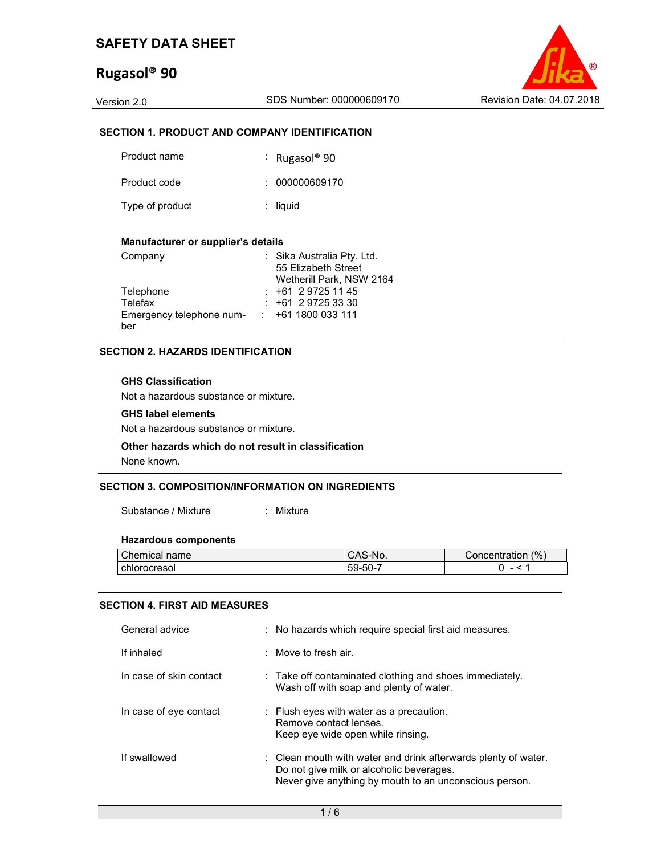# Rugasol® 90

Version 2.0 SDS Number: 000000609170 Revision Date: 04.07.2018

### SECTION 1. PRODUCT AND COMPANY IDENTIFICATION

| Product name    | : Rugasol <sup>®</sup> 90 |
|-----------------|---------------------------|
| Product code    | : 000000609170            |
| Type of product | $:$ liquid                |

#### Manufacturer or supplier's details

| Company                  | : Sika Australia Pty. Ltd. |
|--------------------------|----------------------------|
|                          | 55 Elizabeth Street        |
|                          | Wetherill Park, NSW 2164   |
| Telephone                | $: +61297251145$           |
| Telefax                  | $: +61297253330$           |
| Emergency telephone num- | $\div$ +61 1800 033 111    |
| ber                      |                            |

#### SECTION 2. HAZARDS IDENTIFICATION

#### GHS Classification

Not a hazardous substance or mixture.

#### GHS label elements

Not a hazardous substance or mixture.

## Other hazards which do not result in classification

None known.

#### SECTION 3. COMPOSITION/INFORMATION ON INGREDIENTS

Substance / Mixture : Mixture

#### Hazardous components

| <b>Chemical</b> | S-No.          | (%                       |
|-----------------|----------------|--------------------------|
| name            | ∽Aت            | Concentration            |
| I chlorocresol  | -50-<br>$59 -$ | $\overline{\phantom{0}}$ |

#### SECTION 4. FIRST AID MEASURES

| General advice          | : No hazards which require special first aid measures.                                                                                                               |
|-------------------------|----------------------------------------------------------------------------------------------------------------------------------------------------------------------|
| If inhaled              | $\therefore$ Move to fresh air.                                                                                                                                      |
| In case of skin contact | $\therefore$ Take off contaminated clothing and shoes immediately.<br>Wash off with soap and plenty of water.                                                        |
| In case of eye contact  | $\therefore$ Flush eyes with water as a precaution.<br>Remove contact lenses.<br>Keep eye wide open while rinsing.                                                   |
| If swallowed            | : Clean mouth with water and drink afterwards plenty of water.<br>Do not give milk or alcoholic beverages.<br>Never give anything by mouth to an unconscious person. |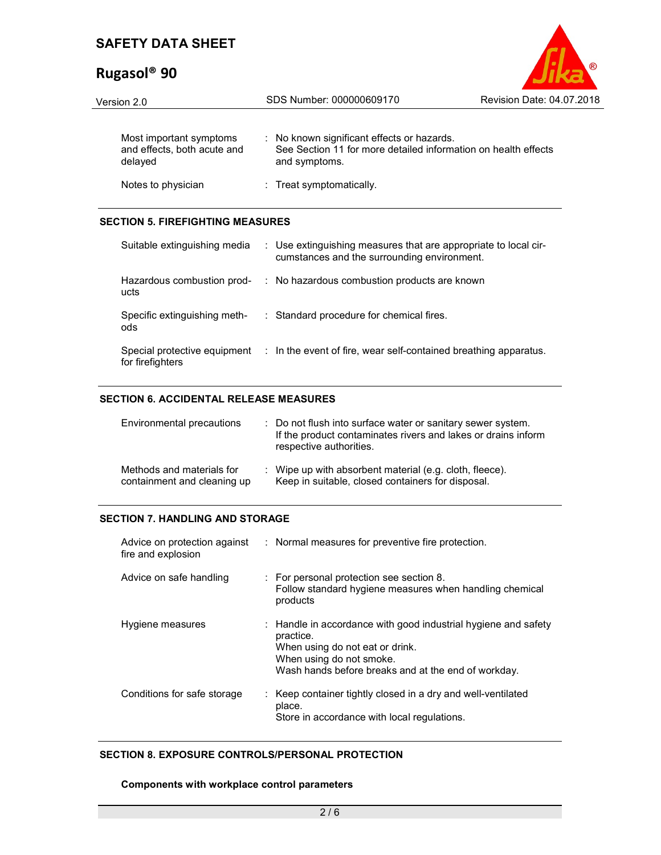# Rugasol® 90



| Version 2.0                                                       | SDS Number: 000000609170                                                                                                      | Revision Date: 04.07.2018 |  |  |
|-------------------------------------------------------------------|-------------------------------------------------------------------------------------------------------------------------------|---------------------------|--|--|
| Most important symptoms<br>and effects, both acute and<br>delayed | : No known significant effects or hazards.<br>See Section 11 for more detailed information on health effects<br>and symptoms. |                           |  |  |
| Notes to physician                                                | : Treat symptomatically.                                                                                                      |                           |  |  |

## SECTION 5. FIREFIGHTING MEASURES

| Suitable extinguishing media                     | : Use extinguishing measures that are appropriate to local cir-<br>cumstances and the surrounding environment. |
|--------------------------------------------------|----------------------------------------------------------------------------------------------------------------|
| Hazardous combustion prod-<br>ucts               | : No hazardous combustion products are known                                                                   |
| Specific extinguishing meth-<br>ods              | : Standard procedure for chemical fires.                                                                       |
| Special protective equipment<br>for firefighters | : In the event of fire, wear self-contained breathing apparatus.                                               |

### SECTION 6. ACCIDENTAL RELEASE MEASURES

| Environmental precautions                                | : Do not flush into surface water or sanitary sewer system.<br>If the product contaminates rivers and lakes or drains inform<br>respective authorities. |
|----------------------------------------------------------|---------------------------------------------------------------------------------------------------------------------------------------------------------|
| Methods and materials for<br>containment and cleaning up | : Wipe up with absorbent material (e.g. cloth, fleece).<br>Keep in suitable, closed containers for disposal.                                            |

## SECTION 7. HANDLING AND STORAGE

| Advice on protection against<br>fire and explosion | : Normal measures for preventive fire protection.                                                                                                                                                 |
|----------------------------------------------------|---------------------------------------------------------------------------------------------------------------------------------------------------------------------------------------------------|
| Advice on safe handling                            | : For personal protection see section 8.<br>Follow standard hygiene measures when handling chemical<br>products                                                                                   |
| Hygiene measures                                   | : Handle in accordance with good industrial hygiene and safety<br>practice.<br>When using do not eat or drink.<br>When using do not smoke.<br>Wash hands before breaks and at the end of workday. |
| Conditions for safe storage                        | : Keep container tightly closed in a dry and well-ventilated<br>place.<br>Store in accordance with local regulations.                                                                             |

## SECTION 8. EXPOSURE CONTROLS/PERSONAL PROTECTION

#### Components with workplace control parameters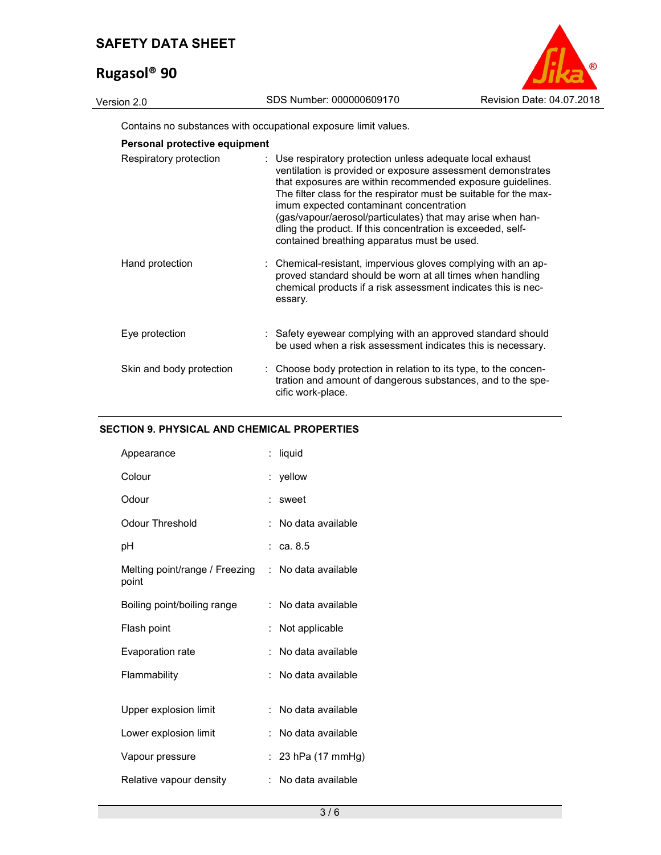# Rugasol® 90



Contains no substances with occupational exposure limit values.

| Respiratory protection   | : Use respiratory protection unless adequate local exhaust<br>ventilation is provided or exposure assessment demonstrates<br>that exposures are within recommended exposure guidelines.<br>The filter class for the respirator must be suitable for the max-<br>imum expected contaminant concentration<br>(gas/vapour/aerosol/particulates) that may arise when han-<br>dling the product. If this concentration is exceeded, self-<br>contained breathing apparatus must be used. |
|--------------------------|-------------------------------------------------------------------------------------------------------------------------------------------------------------------------------------------------------------------------------------------------------------------------------------------------------------------------------------------------------------------------------------------------------------------------------------------------------------------------------------|
| Hand protection          | : Chemical-resistant, impervious gloves complying with an ap-<br>proved standard should be worn at all times when handling<br>chemical products if a risk assessment indicates this is nec-<br>essary.                                                                                                                                                                                                                                                                              |
| Eye protection           | : Safety eyewear complying with an approved standard should<br>be used when a risk assessment indicates this is necessary.                                                                                                                                                                                                                                                                                                                                                          |
| Skin and body protection | : Choose body protection in relation to its type, to the concen-<br>tration and amount of dangerous substances, and to the spe-<br>cific work-place.                                                                                                                                                                                                                                                                                                                                |

## SECTION 9. PHYSICAL AND CHEMICAL PROPERTIES

| Appearance                              | t.                   | liquid                |
|-----------------------------------------|----------------------|-----------------------|
| Colour                                  |                      | yellow                |
| Odour                                   | ÷                    | sweet                 |
| Odour Threshold                         | t.                   | No data available     |
| рH                                      |                      | $:$ ca. 8.5           |
| Melting point/range / Freezing<br>point |                      | : No data available   |
| Boiling point/boiling range             |                      | $:$ No data available |
| Flash point                             | $\ddot{\phantom{a}}$ | Not applicable        |
| Evaporation rate                        | t                    | No data available     |
| Flammability                            | ۰.                   | No data available     |
|                                         |                      |                       |
| Upper explosion limit                   | t.                   | No data available     |
| Lower explosion limit                   | t.                   | No data available     |
| Vapour pressure                         | ÷                    | 23 hPa (17 mmHg)      |
| Relative vapour density                 | ÷.                   | No data available     |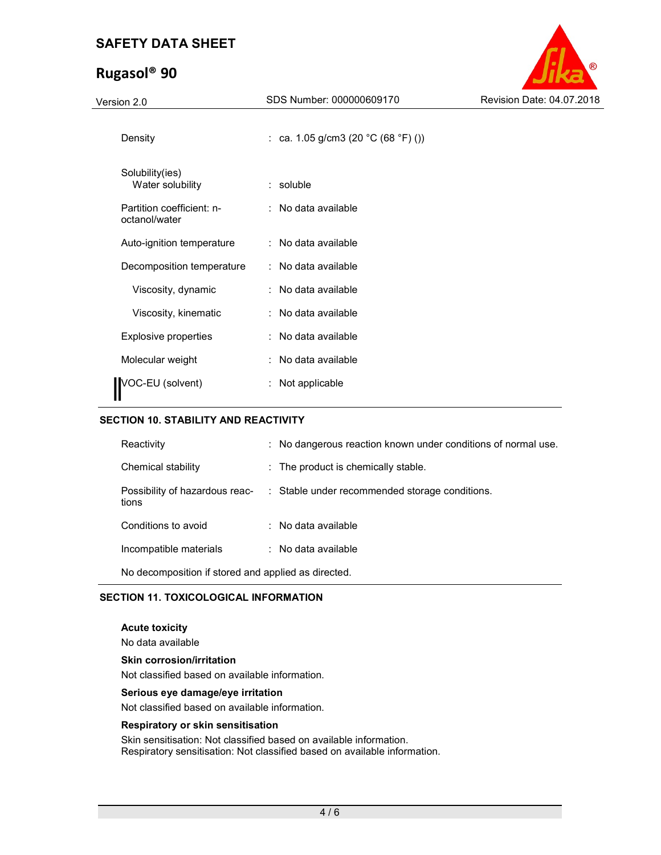# Rugasol® 90



| Version 2.0                                | SDS Number: 000000609170            | Revision Date: 04.07.2018 |
|--------------------------------------------|-------------------------------------|---------------------------|
| Density                                    | : ca. 1.05 g/cm3 (20 °C (68 °F) ()) |                           |
| Solubility(ies)<br>Water solubility        | $:$ soluble                         |                           |
| Partition coefficient: n-<br>octanol/water | : No data available                 |                           |
| Auto-ignition temperature                  | : No data available                 |                           |
| Decomposition temperature                  | : No data available                 |                           |
| Viscosity, dynamic                         | : No data available                 |                           |
| Viscosity, kinematic                       | : No data available                 |                           |
| <b>Explosive properties</b>                | : No data available                 |                           |
| Molecular weight                           | : No data available                 |                           |
| VOC-EU (solvent)                           | : Not applicable                    |                           |

#### SECTION 10. STABILITY AND REACTIVITY

| Reactivity                                          | : No dangerous reaction known under conditions of normal use.                 |  |  |  |
|-----------------------------------------------------|-------------------------------------------------------------------------------|--|--|--|
| Chemical stability                                  | $\therefore$ The product is chemically stable.                                |  |  |  |
| tions                                               | Possibility of hazardous reac- : Stable under recommended storage conditions. |  |  |  |
| Conditions to avoid                                 | : No data available                                                           |  |  |  |
| Incompatible materials                              | : No data available                                                           |  |  |  |
| No decomposition if stored and applied as directed. |                                                                               |  |  |  |

### SECTION 11. TOXICOLOGICAL INFORMATION

Acute toxicity

No data available

## Skin corrosion/irritation

Not classified based on available information.

#### Serious eye damage/eye irritation

Not classified based on available information.

#### Respiratory or skin sensitisation

Skin sensitisation: Not classified based on available information. Respiratory sensitisation: Not classified based on available information.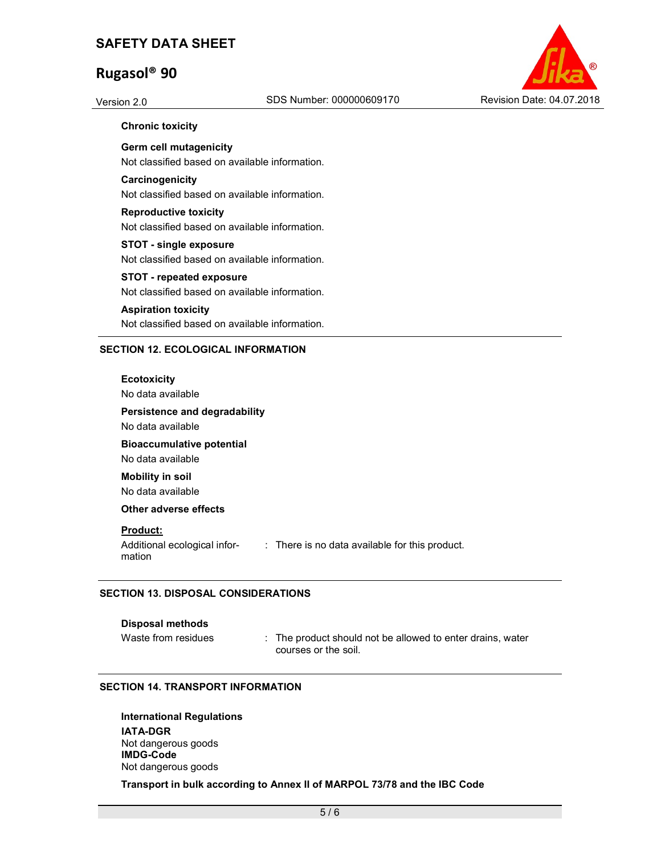# Rugasol® 90



#### Chronic toxicity

Germ cell mutagenicity Not classified based on available information.

**Carcinogenicity** Not classified based on available information.

Reproductive toxicity Not classified based on available information.

STOT - single exposure Not classified based on available information.

STOT - repeated exposure Not classified based on available information.

## Aspiration toxicity

Not classified based on available information.

#### SECTION 12. ECOLOGICAL INFORMATION

**Ecotoxicity** 

No data available

Persistence and degradability

No data available

Bioaccumulative potential

No data available

Mobility in soil

No data available

Other adverse effects

#### Product:

Additional ecological information : There is no data available for this product.

#### SECTION 13. DISPOSAL CONSIDERATIONS

#### Disposal methods

Waste from residues : The product should not be allowed to enter drains, water courses or the soil.

#### SECTION 14. TRANSPORT INFORMATION

International Regulations IATA-DGR Not dangerous goods IMDG-Code Not dangerous goods

Transport in bulk according to Annex II of MARPOL 73/78 and the IBC Code